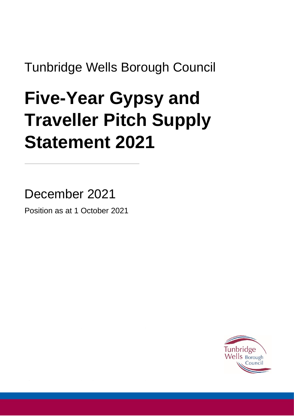Tunbridge Wells Borough Council

# **Five-Year Gypsy and Traveller Pitch Supply Statement 2021**

December 2021 Position as at 1 October 2021

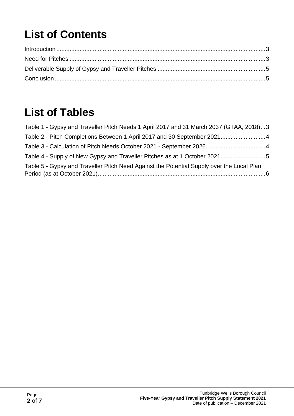## **List of Contents**

### **List of Tables**

| Table 1 - Gypsy and Traveller Pitch Needs 1 April 2017 and 31 March 2037 (GTAA, 2018)3    |  |
|-------------------------------------------------------------------------------------------|--|
| Table 2 - Pitch Completions Between 1 April 2017 and 30 September 20214                   |  |
|                                                                                           |  |
|                                                                                           |  |
| Table 5 - Gypsy and Traveller Pitch Need Against the Potential Supply over the Local Plan |  |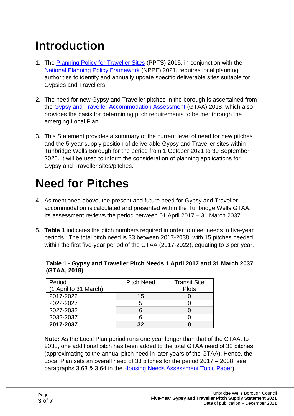### <span id="page-2-0"></span>**Introduction**

- 1. The [Planning Policy for Traveller Sites](https://assets.publishing.service.gov.uk/government/uploads/system/uploads/attachment_data/file/457420/Final_planning_and_travellers_policy.pdf) (PPTS) 2015, in conjunction with the [National Planning Policy Framework](https://assets.publishing.service.gov.uk/government/uploads/system/uploads/attachment_data/file/1005759/NPPF_July_2021.pdf) (NPPF) 2021, requires local planning authorities to identify and annually update specific deliverable sites suitable for Gypsies and Travellers.
- 2. The need for new Gypsy and Traveller pitches in the borough is ascertained from the [Gypsy and Traveller Accommodation Assessment](https://forms.tunbridgewells.gov.uk/__data/assets/pdf_file/0017/403181/CD_3.17_Gypsy_-and-_Traveller_Accommodation_Assessment_2018.pdf) (GTAA) 2018, which also provides the basis for determining pitch requirements to be met through the emerging Local Plan.
- 3. This Statement provides a summary of the current level of need for new pitches and the 5-year supply position of deliverable Gypsy and Traveller sites within Tunbridge Wells Borough for the period from 1 October 2021 to 30 September 2026. It will be used to inform the consideration of planning applications for Gypsy and Traveller sites/pitches.

### <span id="page-2-1"></span>**Need for Pitches**

- 4. As mentioned above, the present and future need for Gypsy and Traveller accommodation is calculated and presented within the Tunbridge Wells GTAA. Its assessment reviews the period between 01 April 2017 – 31 March 2037.
- 5. **Table 1** indicates the pitch numbers required in order to meet needs in five-year periods. The total pitch need is 33 between 2017-2038, with 15 pitches needed within the first five-year period of the GTAA (2017-2022), equating to 3 per year.

| Period                | <b>Pitch Need</b> | <b>Transit Site</b> |
|-----------------------|-------------------|---------------------|
| (1 April to 31 March) |                   | <b>Plots</b>        |
| 2017-2022             | 15                |                     |
| 2022-2027             | 5                 |                     |
| 2027-2032             | 6                 |                     |
| 2032-2037             |                   |                     |
| 2017-2037             | 32                |                     |

<span id="page-2-2"></span>**Table 1 - Gypsy and Traveller Pitch Needs 1 April 2017 and 31 March 2037 (GTAA, 2018)**

**Note:** As the Local Plan period runs one year longer than that of the GTAA, to 2038, one additional pitch has been added to the total GTAA need of 32 pitches (approximating to the annual pitch need in later years of the GTAA). Hence, the Local Plan sets an overall need of 33 pitches for the period 2017 – 2038; see paragraphs 3.63 & 3.64 in the [Housing Needs Assessment Topic Paper\)](https://tunbridgewells.gov.uk/__data/assets/pdf_file/0003/388092/Housing-Needs-Assessment-Topic-Paper.pdf).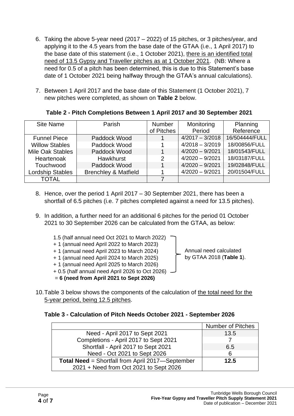- 6. Taking the above 5-year need (2017 2022) of 15 pitches, or 3 pitches/year, and applying it to the 4.5 years from the base date of the GTAA (i.e., 1 April 2017) to the base date of this statement (i.e., 1 October 2021), there is an identified total need of 13.5 Gypsy and Traveller pitches as at 1 October 2021. (NB: Where a need for 0.5 of a pitch has been determined, this is due to this Statement's base date of 1 October 2021 being halfway through the GTAA's annual calculations).
- 7. Between 1 April 2017 and the base date of this Statement (1 October 2021), 7 new pitches were completed, as shown on **Table 2** below.

| <b>Site Name</b>        | Parish                          | <b>Number</b>  | Monitoring        | Planning       |
|-------------------------|---------------------------------|----------------|-------------------|----------------|
|                         |                                 | of Pitches     | Period            | Reference      |
| <b>Funnel Piece</b>     | Paddock Wood                    | 1              | $4/2017 - 3/2018$ | 16/504444/FULL |
| <b>Willow Stables</b>   | Paddock Wood                    |                | $4/2018 - 3/2019$ | 18/00856/FULL  |
| Mile Oak Stables        | Paddock Wood                    | 1              | $4/2020 - 9/2021$ | 18/01543/FULL  |
| Heartenoak              | <b>Hawkhurst</b>                | $\overline{2}$ | $4/2020 - 9/2021$ | 18/03187/FULL  |
| Touchwood               | Paddock Wood                    | 1              | $4/2020 - 9/2021$ | 19/02848/FULL  |
| <b>Lordship Stables</b> | <b>Brenchley &amp; Matfield</b> |                | $4/2020 - 9/2021$ | 20/01504/FULL  |
| <b>TOTAL</b>            |                                 |                |                   |                |

#### <span id="page-3-0"></span>**Table 2 - Pitch Completions Between 1 April 2017 and 30 September 2021**

- 8. Hence, over the period 1 April 2017 30 September 2021, there has been a shortfall of 6.5 pitches (i.e. 7 pitches completed against a need for 13.5 pitches).
- 9. In addition, a further need for an additional 6 pitches for the period 01 October 2021 to 30 September 2026 can be calculated from the GTAA, as below:
	- 1.5 (half annual need Oct 2021 to March 2022) + 1 (annual need April 2022 to March 2023) + 1 (annual need April 2023 to March 2024) + 1 (annual need April 2024 to March 2025) + 1 (annual need April 2025 to March 2026) + 0.5 (half annual need April 2026 to Oct 2026)
	- = **6 (need from April 2021 to Sept 2026)**
- 10.Table 3 below shows the components of the calculation of the total need for the 5-year period, being 12.5 pitches.

#### <span id="page-3-1"></span>**Table 3 - Calculation of Pitch Needs October 2021 - September 2026**

|                                                         | <b>Number of Pitches</b> |
|---------------------------------------------------------|--------------------------|
| Need - April 2017 to Sept 2021                          | 13.5                     |
| Completions - April 2017 to Sept 2021                   |                          |
| Shortfall - April 2017 to Sept 2021                     | 6.5                      |
| Need - Oct 2021 to Sept 2026                            | 6                        |
| <b>Total Need = Shortfall from April 2017-September</b> | 12.5                     |
| 2021 + Need from Oct 2021 to Sept 2026                  |                          |

Annual need calculated by GTAA 2018 (**Table 1**).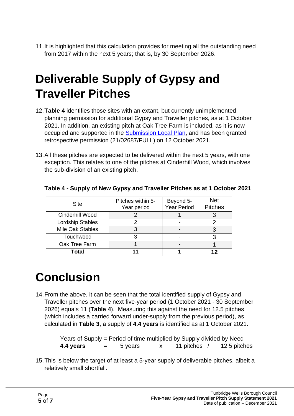11.It is highlighted that this calculation provides for meeting all the outstanding need from 2017 within the next 5 years; that is, by 30 September 2026.

### <span id="page-4-0"></span>**Deliverable Supply of Gypsy and Traveller Pitches**

- 12.**Table 4** identifies those sites with an extant, but currently unimplemented, planning permission for additional Gypsy and Traveller pitches, as at 1 October 2021. In addition, an existing pitch at Oak Tree Farm is included, as it is now occupied and supported in the [Submission Local Plan,](https://forms.tunbridgewells.gov.uk/__data/assets/pdf_file/0010/403588/CD_3.128_Local-Plan_Submission-version-compressed.pdf) and has been granted retrospective permission (21/02687/FULL) on 12 October 2021.
- 13.All these pitches are expected to be delivered within the next 5 years, with one exception. This relates to one of the pitches at Cinderhill Wood, which involves the sub-division of an existing pitch.

| <b>Site</b>      | Pitches within 5-<br>Year period | Beyond 5-<br>Year Period | <b>Net</b><br><b>Pitches</b> |
|------------------|----------------------------------|--------------------------|------------------------------|
| Cinderhill Wood  |                                  |                          |                              |
| Lordship Stables |                                  |                          |                              |
| Mile Oak Stables |                                  |                          |                              |
| Touchwood        |                                  |                          |                              |
| Oak Tree Farm    |                                  |                          |                              |
| Total            |                                  |                          |                              |

#### <span id="page-4-2"></span>**Table 4 - Supply of New Gypsy and Traveller Pitches as at 1 October 2021**

### <span id="page-4-1"></span>**Conclusion**

14.From the above, it can be seen that the total identified supply of Gypsy and Traveller pitches over the next five-year period (1 October 2021 - 30 September 2026) equals 11 (**Table 4**). Measuring this against the need for 12.5 pitches (which includes a carried forward under-supply from the previous period), as calculated in **Table 3**, a supply of **4.4 years** is identified as at 1 October 2021.

> Years of Supply = Period of time multiplied by Supply divided by Need **4.4 years** = 5 years x 11 pitches / 12.5 pitches

15.This is below the target of at least a 5-year supply of deliverable pitches, albeit a relatively small shortfall.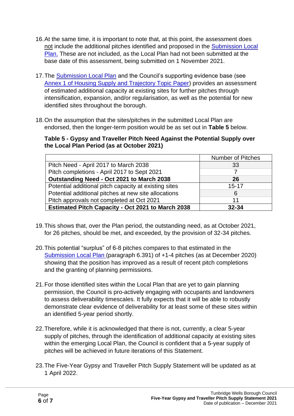- 16.At the same time, it is important to note that, at this point, the assessment does not include the additional pitches identified and proposed in the [Submission Local](https://forms.tunbridgewells.gov.uk/__data/assets/pdf_file/0010/403588/CD_3.128_Local-Plan_Submission-version-compressed.pdf)  [Plan.](https://forms.tunbridgewells.gov.uk/__data/assets/pdf_file/0010/403588/CD_3.128_Local-Plan_Submission-version-compressed.pdf) These are not included, as the Local Plan had not been submitted at the base date of this assessment, being submitted on 1 November 2021.
- 17.The [Submission Local Plan](https://forms.tunbridgewells.gov.uk/__data/assets/pdf_file/0010/403588/CD_3.128_Local-Plan_Submission-version-compressed.pdf) and the Council's supporting evidence base (see [Annex 1 of Housing Supply and Trajectory Topic Paper\)](https://tunbridgewells.gov.uk/__data/assets/pdf_file/0007/388096/Housing-Supply-and-Trajectory-Topic-Paper_Annex-1.pdf) provides an assessment of estimated additional capacity at existing sites for further pitches through intensification, expansion, and/or regularisation, as well as the potential for new identified sites throughout the borough.
- 18.On the assumption that the sites/pitches in the submitted Local Plan are endorsed, then the longer-term position would be as set out in **Table 5** below.

<span id="page-5-0"></span>**Table 5 - Gypsy and Traveller Pitch Need Against the Potential Supply over the Local Plan Period (as at October 2021)**

|                                                          | <b>Number of Pitches</b> |
|----------------------------------------------------------|--------------------------|
| Pitch Need - April 2017 to March 2038                    | 33                       |
| Pitch completions - April 2017 to Sept 2021              |                          |
| Outstanding Need - Oct 2021 to March 2038                | 26                       |
| Potential additional pitch capacity at existing sites    | $15 - 17$                |
| Potential additional pitches at new site allocations     | 6                        |
| Pitch approvals not completed at Oct 2021                | 11                       |
| <b>Estimated Pitch Capacity - Oct 2021 to March 2038</b> | $32 - 34$                |

- 19.This shows that, over the Plan period, the outstanding need, as at October 2021, for 26 pitches, should be met, and exceeded, by the provision of 32-34 pitches.
- 20.This potential "surplus" of 6-8 pitches compares to that estimated in the [Submission Local Plan](https://forms.tunbridgewells.gov.uk/__data/assets/pdf_file/0010/403588/CD_3.128_Local-Plan_Submission-version-compressed.pdf) (paragraph 6.391) of +1-4 pitches (as at December 2020) showing that the position has improved as a result of recent pitch completions and the granting of planning permissions.
- 21.For those identified sites within the Local Plan that are yet to gain planning permission, the Council is pro-actively engaging with occupants and landowners to assess deliverability timescales. It fully expects that it will be able to robustly demonstrate clear evidence of deliverability for at least some of these sites within an identified 5-year period shortly.
- 22.Therefore, while it is acknowledged that there is not, currently, a clear 5-year supply of pitches, through the identification of additional capacity at existing sites within the emerging Local Plan, the Council is confident that a 5-year supply of pitches will be achieved in future iterations of this Statement.
- 23.The Five-Year Gypsy and Traveller Pitch Supply Statement will be updated as at 1 April 2022.